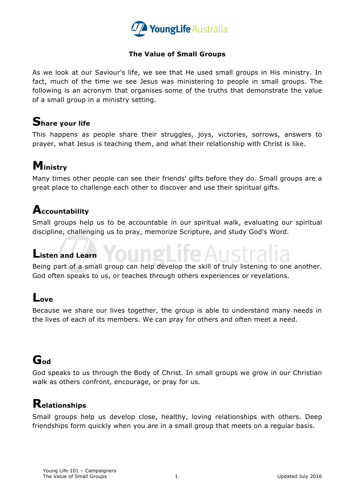

#### **The Value of Small Groups**

As we look at our Saviour's life, we see that He used small groups in His ministry. In fact, much of the time we see Jesus was ministering to people in small groups. The following is an acronym that organises some of the truths that demonstrate the value of a small group in a ministry setting.

### **Share your life**

This happens as people share their struggles, joys, victories, sorrows, answers to prayer, what Jesus is teaching them, and what their relationship with Christ is like.

## **Ministry**

Many times other people can see their friends' gifts before they do. Small groups are a great place to challenge each other to discover and use their spiritual gifts.

#### **Accountability**

Small groups help us to be accountable in our spiritual walk, evaluating our spiritual discipline, challenging us to pray, memorize Scripture, and study God's Word.

#### **Listen and Learn**

Being part of a small group can help develop the skill of truly listening to one another. God often speaks to us, or teaches through others experiences or revelations.

### **Love**

Because we share our lives together, the group is able to understand many needs in the lives of each of its members. We can pray for others and often meet a need.

## **God**

God speaks to us through the Body of Christ. In small groups we grow in our Christian walk as others confront, encourage, or pray for us.

### **Relationships**

Small groups help us develop close, healthy, loving relationships with others. Deep friendships form quickly when you are in a small group that meets on a regular basis.